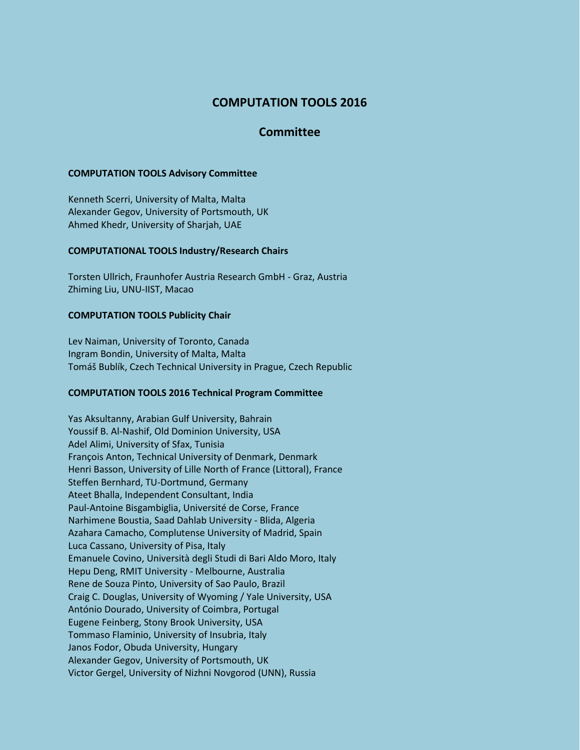# **COMPUTATION TOOLS 2016**

## **Committee**

## **COMPUTATION TOOLS Advisory Committee**

Kenneth Scerri, University of Malta, Malta Alexander Gegov, University of Portsmouth, UK Ahmed Khedr, University of Sharjah, UAE

#### **COMPUTATIONAL TOOLS Industry/Research Chairs**

Torsten Ullrich, Fraunhofer Austria Research GmbH - Graz, Austria Zhiming Liu, UNU-IIST, Macao

#### **COMPUTATION TOOLS Publicity Chair**

Lev Naiman, University of Toronto, Canada Ingram Bondin, University of Malta, Malta Tomáš Bublík, Czech Technical University in Prague, Czech Republic

## **COMPUTATION TOOLS 2016 Technical Program Committee**

Yas Aksultanny, Arabian Gulf University, Bahrain Youssif B. Al-Nashif, Old Dominion University, USA Adel Alimi, University of Sfax, Tunisia François Anton, Technical University of Denmark, Denmark Henri Basson, University of Lille North of France (Littoral), France Steffen Bernhard, TU-Dortmund, Germany Ateet Bhalla, Independent Consultant, India Paul-Antoine Bisgambiglia, Université de Corse, France Narhimene Boustia, Saad Dahlab University - Blida, Algeria Azahara Camacho, Complutense University of Madrid, Spain Luca Cassano, University of Pisa, Italy Emanuele Covino, Università degli Studi di Bari Aldo Moro, Italy Hepu Deng, RMIT University - Melbourne, Australia Rene de Souza Pinto, University of Sao Paulo, Brazil Craig C. Douglas, University of Wyoming / Yale University, USA António Dourado, University of Coimbra, Portugal Eugene Feinberg, Stony Brook University, USA Tommaso Flaminio, University of Insubria, Italy Janos Fodor, Obuda University, Hungary Alexander Gegov, University of Portsmouth, UK Victor Gergel, University of Nizhni Novgorod (UNN), Russia